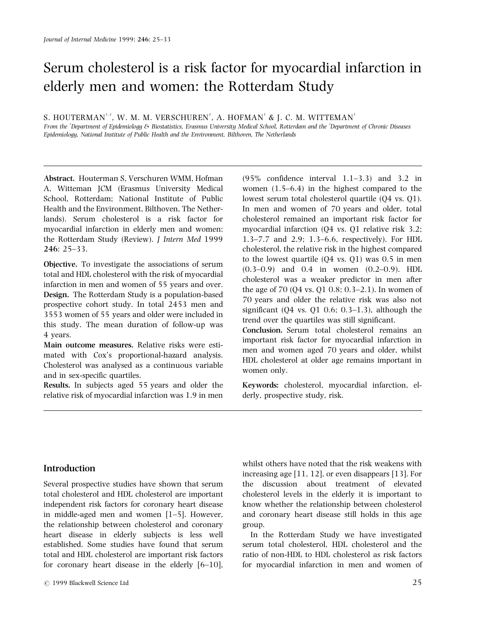# Serum cholesterol is a risk factor for myocardial infarction in elderly men and women: the Rotterdam Study

S. HOUTERMAN' $\cdot$ 2, W. M. M. VERSCHUREN $^2$ , A. HOFMAN $^1$  & J. C. M. WITTEMAN $^1$ 

From the 'Department of Epidemiology & Biostatistics, Erasmus University Medical School, Rotterdam and the 'Department of Chronic Diseases Epidemiology, National Institute of Public Health and the Environment, Bilthoven, The Netherlands

Abstract. Houterman S, Verschuren WMM, Hofman A, Witteman JCM (Erasmus University Medical School, Rotterdam; National Institute of Public Health and the Environment, Bilthoven, The Netherlands). Serum cholesterol is a risk factor for myocardial infarction in elderly men and women: the Rotterdam Study (Review). J Intern Med 1999 246: 25±33.

Objective. To investigate the associations of serum total and HDL cholesterol with the risk of myocardial infarction in men and women of 55 years and over. Design. The Rotterdam Study is a population-based prospective cohort study. In total 2453 men and 3553 women of 55 years and older were included in this study. The mean duration of follow-up was 4 years.

Main outcome measures. Relative risks were estimated with Cox's proportional-hazard analysis. Cholesterol was analysed as a continuous variable and in sex-specific quartiles.

Results. In subjects aged 55 years and older the relative risk of myocardial infarction was 1.9 in men  $(95\% \text{ confidence interval } 1.1-3.3)$  and 3.2 in women  $(1.5-6.4)$  in the highest compared to the lowest serum total cholesterol quartile (Q4 vs. Q1). In men and women of 70 years and older, total cholesterol remained an important risk factor for myocardial infarction (Q4 vs. Q1 relative risk 3.2; 1.3 $-7.7$  and 2.9; 1.3 $-6.6$ , respectively). For HDL cholesterol, the relative risk in the highest compared to the lowest quartile (Q4 vs. Q1) was 0.5 in men  $(0.3-0.9)$  and  $0.4$  in women  $(0.2-0.9)$ . HDL cholesterol was a weaker predictor in men after the age of  $70 (Q4 \text{ vs. } Q1 \text{ 0.8}; 0.3–2.1)$ . In women of 70 years and older the relative risk was also not significant ( $Q4$  vs.  $Q1$  0.6; 0.3-1.3), although the trend over the quartiles was still significant.

Conclusion. Serum total cholesterol remains an important risk factor for myocardial infarction in men and women aged 70 years and older, whilst HDL cholesterol at older age remains important in women only.

Keywords: cholesterol, myocardial infarction, elderly, prospective study, risk.

## Introduction

Several prospective studies have shown that serum total cholesterol and HDL cholesterol are important independent risk factors for coronary heart disease in middle-aged men and women  $[1-5]$ . However, the relationship between cholesterol and coronary heart disease in elderly subjects is less well established. Some studies have found that serum total and HDL cholesterol are important risk factors for coronary heart disease in the elderly  $[6-10]$ ,

whilst others have noted that the risk weakens with increasing age [11, 12], or even disappears [13]. For the discussion about treatment of elevated cholesterol levels in the elderly it is important to know whether the relationship between cholesterol and coronary heart disease still holds in this age group.

In the Rotterdam Study we have investigated serum total cholesterol, HDL cholesterol and the ratio of non-HDL to HDL cholesterol as risk factors for myocardial infarction in men and women of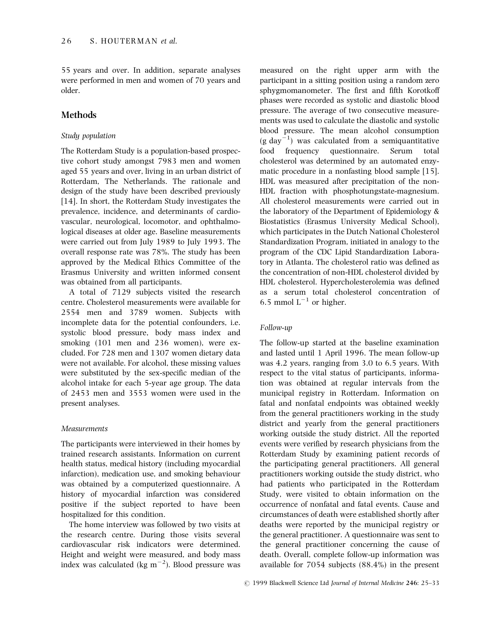55 years and over. In addition, separate analyses were performed in men and women of 70 years and older.

## Methods

## Study population

The Rotterdam Study is a population-based prospective cohort study amongst 7983 men and women aged 55 years and over, living in an urban district of Rotterdam, The Netherlands. The rationale and design of the study have been described previously [14]. In short, the Rotterdam Study investigates the prevalence, incidence, and determinants of cardiovascular, neurological, locomotor, and ophthalmological diseases at older age. Baseline measurements were carried out from July 1989 to July 1993. The overall response rate was 78%. The study has been approved by the Medical Ethics Committee of the Erasmus University and written informed consent was obtained from all participants.

A total of 7129 subjects visited the research centre. Cholesterol measurements were available for 2554 men and 3789 women. Subjects with incomplete data for the potential confounders, i.e. systolic blood pressure, body mass index and smoking (101 men and 236 women), were excluded. For 728 men and 1307 women dietary data were not available. For alcohol, these missing values were substituted by the sex-specific median of the alcohol intake for each 5-year age group. The data of 2453 men and 3553 women were used in the present analyses.

## Measurements

The participants were interviewed in their homes by trained research assistants. Information on current health status, medical history (including myocardial infarction), medication use, and smoking behaviour was obtained by a computerized questionnaire. A history of myocardial infarction was considered positive if the subject reported to have been hospitalized for this condition.

The home interview was followed by two visits at the research centre. During those visits several cardiovascular risk indicators were determined. Height and weight were measured, and body mass index was calculated (kg  $\mathrm{m}^{-2}$ ). Blood pressure was

measured on the right upper arm with the participant in a sitting position using a random zero sphygmomanometer. The first and fifth Korotkoff phases were recorded as systolic and diastolic blood pressure. The average of two consecutive measurements was used to calculate the diastolic and systolic blood pressure. The mean alcohol consumption  $(g\ day^{-1})$  was calculated from a semiquantitative food frequency questionnaire. Serum total cholesterol was determined by an automated enzymatic procedure in a nonfasting blood sample [15]. HDL was measured after precipitation of the non-HDL fraction with phosphotungstate-magnesium. All cholesterol measurements were carried out in the laboratory of the Department of Epidemiology & Biostatistics (Erasmus University Medical School), which participates in the Dutch National Cholesterol Standardization Program, initiated in analogy to the program of the CDC Lipid Standardization Laboratory in Atlanta. The cholesterol ratio was defined as the concentration of non-HDL cholesterol divided by HDL cholesterol. Hypercholesterolemia was defined as a serum total cholesterol concentration of 6.5 mmol  $L^{-1}$  or higher.

## Follow-up

The follow-up started at the baseline examination and lasted until 1 April 1996. The mean follow-up was 4.2 years, ranging from 3.0 to 6.5 years. With respect to the vital status of participants, information was obtained at regular intervals from the municipal registry in Rotterdam. Information on fatal and nonfatal endpoints was obtained weekly from the general practitioners working in the study district and yearly from the general practitioners working outside the study district. All the reported events were verified by research physicians from the Rotterdam Study by examining patient records of the participating general practitioners. All general practitioners working outside the study district, who had patients who participated in the Rotterdam Study, were visited to obtain information on the occurrence of nonfatal and fatal events. Cause and circumstances of death were established shortly after deaths were reported by the municipal registry or the general practitioner. A questionnaire was sent to the general practitioner concerning the cause of death. Overall, complete follow-up information was available for 7054 subjects (88.4%) in the present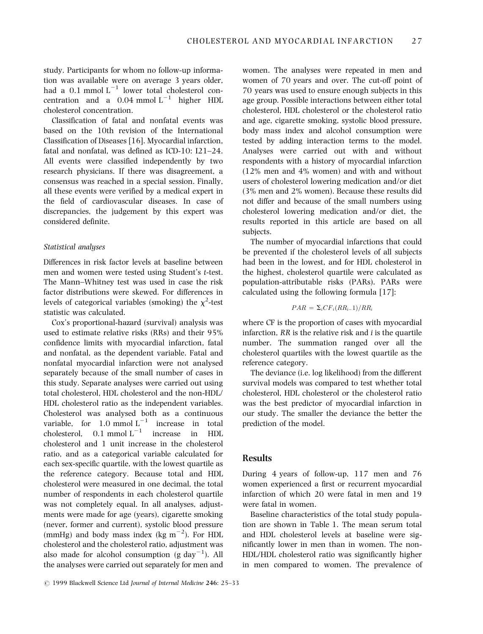study. Participants for whom no follow-up information was available were on average 3 years older, had a 0.1 mmol  $L^{-1}$  lower total cholesterol concentration and a  $0.04$  mmol  $L^{-1}$  higher HDL cholesterol concentration.

Classification of fatal and nonfatal events was based on the 10th revision of the International Classification of Diseases [16]. Myocardial infarction, fatal and nonfatal, was defined as ICD-10:  $I21-24$ . All events were classified independently by two research physicians. If there was disagreement, a consensus was reached in a special session. Finally, all these events were verified by a medical expert in the field of cardiovascular diseases. In case of discrepancies, the judgement by this expert was considered definite.

#### Statistical analyses

Differences in risk factor levels at baseline between men and women were tested using Student's t-test. The Mann-Whitney test was used in case the risk factor distributions were skewed. For differences in levels of categorical variables (smoking) the  $\chi^2$ -test statistic was calculated.

Cox's proportional-hazard (survival) analysis was used to estimate relative risks (RRs) and their 95% confidence limits with myocardial infarction, fatal and nonfatal, as the dependent variable. Fatal and nonfatal myocardial infarction were not analysed separately because of the small number of cases in this study. Separate analyses were carried out using total cholesterol, HDL cholesterol and the non-HDL/ HDL cholesterol ratio as the independent variables. Cholesterol was analysed both as a continuous variable, for  $1.0 \text{ mmol L}^{-1}$  increase in total cholesterol,  $0.1 \text{ mmol L}^{-1}$  increase in HDL cholesterol and 1 unit increase in the cholesterol ratio, and as a categorical variable calculated for each sex-specific quartile, with the lowest quartile as the reference category. Because total and HDL cholesterol were measured in one decimal, the total number of respondents in each cholesterol quartile was not completely equal. In all analyses, adjustments were made for age (years), cigarette smoking (never, former and current), systolic blood pressure (mmHg) and body mass index (kg  $m^{-2}$ ). For HDL cholesterol and the cholesterol ratio, adjustment was also made for alcohol consumption  $(g\,day^{-1})$ . All the analyses were carried out separately for men and

women. The analyses were repeated in men and women of 70 years and over. The cut-off point of 70 years was used to ensure enough subjects in this age group. Possible interactions between either total cholesterol, HDL cholesterol or the cholesterol ratio and age, cigarette smoking, systolic blood pressure, body mass index and alcohol consumption were tested by adding interaction terms to the model. Analyses were carried out with and without respondents with a history of myocardial infarction (12% men and 4% women) and with and without users of cholesterol lowering medication and/or diet (3% men and 2% women). Because these results did not differ and because of the small numbers using cholesterol lowering medication and/or diet, the results reported in this article are based on all subjects.

The number of myocardial infarctions that could be prevented if the cholesterol levels of all subjects had been in the lowest, and for HDL cholesterol in the highest, cholesterol quartile were calculated as population-attributable risks (PARs). PARs were calculated using the following formula [17]:

$$
PAR = \Sigma_i CF_i(RR_{i-1})/RR_i
$$

where CF is the proportion of cases with myocardial infarction,  $RR$  is the relative risk and  $i$  is the quartile number. The summation ranged over all the cholesterol quartiles with the lowest quartile as the reference category.

The deviance (i.e. log likelihood) from the different survival models was compared to test whether total cholesterol, HDL cholesterol or the cholesterol ratio was the best predictor of myocardial infarction in our study. The smaller the deviance the better the prediction of the model.

## Results

During 4 years of follow-up, 117 men and 76 women experienced a first or recurrent myocardial infarction of which 20 were fatal in men and 19 were fatal in women.

Baseline characteristics of the total study population are shown in Table 1. The mean serum total and HDL cholesterol levels at baseline were significantly lower in men than in women. The non-HDL/HDL cholesterol ratio was significantly higher in men compared to women. The prevalence of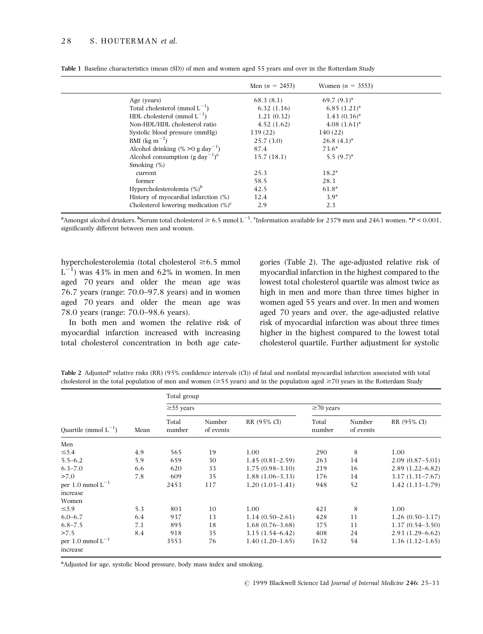|                                                         | Men $(n = 2453)$ | Women $(n = 3553)$ |  |
|---------------------------------------------------------|------------------|--------------------|--|
| Age (years)                                             | 68.3(8.1)        | $69.7(9.1)^*$      |  |
| Total cholesterol (mmol $L^{-1}$ )                      | 6.32(1.16)       | $6.85(1.21)^*$     |  |
| HDL cholesterol (mmol $L^{-1}$ )                        | 1.21(0.32)       | $1.43(0.36)^*$     |  |
| Non-HDL/HDL cholesterol ratio                           | 4.52(1.62)       | $4.08(1.61)^*$     |  |
| Systolic blood pressure (mmHg)                          | 139 (22)         | 140(22)            |  |
| BMI ( $\text{kg m}^{-2}$ )                              | 25.7(3.0)        | $26.8~(4.1)^*$     |  |
| Alcohol drinking $(\% > 0$ g day <sup>-1</sup> )        | 87.4             | $73.6*$            |  |
| Alcohol consumption (g day <sup>-1</sup> ) <sup>a</sup> | 15.7(18.1)       | $5.5(9.7)^*$       |  |
| Smoking $(\%)$                                          |                  |                    |  |
| current                                                 | 25.3             | $18.2*$            |  |
| former                                                  | 58.5             | 28.3               |  |
| Hypercholesterolemia $(\%)^b$                           | 42.5             | $61.8*$            |  |
| History of myocardial infarction $(\%)$                 | 12.4             | $3.9*$             |  |
| Cholesterol lowering medication $(\%)^c$                | 2.9              | 2.3                |  |
|                                                         |                  |                    |  |

Table 1 Baseline characteristics (mean (SD)) of men and women aged 55 years and over in the Rotterdam Study

<sup>a</sup> Amongst alcohol drinkers. <sup>b</sup>Serum total cholesterol  $\geq 6.5$  mmol L<sup>-1</sup>. <sup>c</sup>Information available for 2379 men and 2463 women. \*P < 0.001, significantly different between men and women.

hypercholesterolemia (total cholesterol  $\geq 6.5$  mmol  $L^{-1}$ ) was 43% in men and 62% in women. In men aged 70 years and older the mean age was  $76.7$  years (range:  $70.0-97.8$  years) and in women aged 70 years and older the mean age was 78.0 years (range: 70.0–98.6 years).

In both men and women the relative risk of myocardial infarction increased with increasing total cholesterol concentration in both age cate-

gories (Table 2). The age-adjusted relative risk of myocardial infarction in the highest compared to the lowest total cholesterol quartile was almost twice as high in men and more than three times higher in women aged 55 years and over. In men and women aged 70 years and over, the age-adjusted relative risk of myocardial infarction was about three times higher in the highest compared to the lowest total cholesterol quartile. Further adjustment for systolic

| Table 2 Adjusted <sup>a</sup> relative risks (RR) (95% confidence intervals (CI)) of fatal and nonfatal myocardial infarction associated with total |  |
|-----------------------------------------------------------------------------------------------------------------------------------------------------|--|
| cholesterol in the total population of men and women ( $\geq$ 55 years) and in the population aged $\geq$ 70 years in the Rotterdam Study           |  |

|                                   |      | Total group     |                     |                     |                 |                     |                     |  |
|-----------------------------------|------|-----------------|---------------------|---------------------|-----------------|---------------------|---------------------|--|
|                                   |      | $\geq$ 55 years |                     |                     | $\geq 70$ years |                     |                     |  |
| Quartile (mmol $L^{-1}$ )         | Mean | Total<br>number | Number<br>of events | RR (95% CI)         | Total<br>number | Number<br>of events | RR (95% CI)         |  |
| Men                               |      |                 |                     |                     |                 |                     |                     |  |
| $\leq 5.4$                        | 4.9  | 565             | 19                  | 1.00                | 290             | 8                   | 1.00                |  |
| $5.5 - 6.2$                       | 5.9  | 659             | 30                  | $1.45(0.81-2.59)$   | 263             | 14                  | $2.09(0.87-5.01)$   |  |
| $6.3 - 7.0$                       | 6.6  | 620             | 33                  | $1.75(0.98 - 3.10)$ | 219             | 16                  | $2.89(1.22 - 6.82)$ |  |
| >7.0                              | 7.8  | 609             | 35                  | $1.88(1.06-3.33)$   | 176             | 14                  | $3.17(1.31 - 7.67)$ |  |
| per 1.0 mmol $L^{-1}$<br>increase |      | 2453            | 117                 | $1.20(1.03-1.41)$   | 948             | 52                  | $1.42(1.13-1.79)$   |  |
| Women                             |      |                 |                     |                     |                 |                     |                     |  |
| $\leq 5.9$                        | 5.3  | 803             | 10                  | 1.00                | 421             | 8                   | 1.00                |  |
| $6.0 - 6.7$                       | 6.4  | 937             | 13                  | $1.14(0.50-2.61)$   | 428             | 11                  | $1.26(0.50-3.17)$   |  |
| $6.8 - 7.5$                       | 7.1  | 895             | 18                  | $1.68(0.76-3.68)$   | 375             | 11                  | $1.37(0.54 - 3.50)$ |  |
| >7.5                              | 8.4  | 918             | 35                  | $3.15(1.54 - 6.42)$ | 408             | 24                  | $2.93(1.29-6.62)$   |  |
| per 1.0 mmol $L^{-1}$<br>increase |      | 3553            | 76                  | $1.40(1.20-1.65)$   | 1632            | 54                  | $1.36(1.12-1.65)$   |  |

<sup>a</sup>Adjusted for age, systolic blood pressure, body mass index and smoking.

© 1999 Blackwell Science Ltd Journal of Internal Medicine 246: 25-33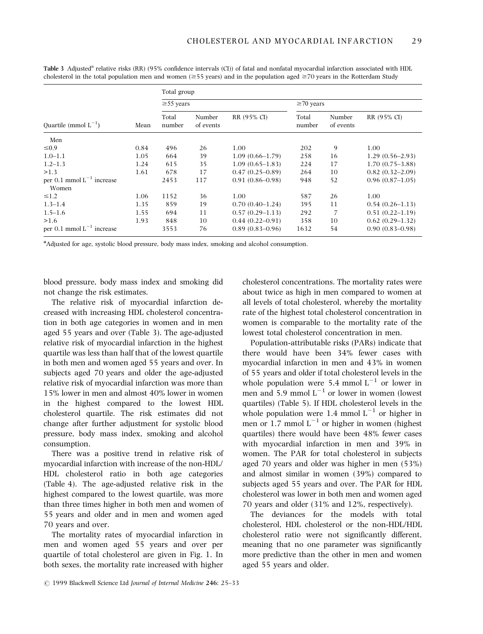|                                           |      | Total group     |                     |                     |                 |                     |                     |  |
|-------------------------------------------|------|-----------------|---------------------|---------------------|-----------------|---------------------|---------------------|--|
|                                           |      | $\geq$ 55 years |                     |                     | $\geq$ 70 years |                     |                     |  |
| Ouartile (mmol $L^{-1}$ )                 | Mean | Total<br>number | Number<br>of events | RR (95% CI)         | Total<br>number | Number<br>of events | RR (95% CI)         |  |
| Men                                       |      |                 |                     |                     |                 |                     |                     |  |
| $\leq 0.9$                                | 0.84 | 496             | 26                  | 1.00                | 202             | 9                   | 1.00                |  |
| $1.0 - 1.1$                               | 1.05 | 664             | 39                  | $1.09(0.66-1.79)$   | 258             | 16                  | $1.29(0.56-2.93)$   |  |
| $1.2 - 1.3$                               | 1.24 | 615             | 35                  | $1.09(0.65-1.83)$   | 224             | 17                  | $1.70(0.75 - 3.88)$ |  |
| >1.3                                      | 1.61 | 678             | 17                  | $0.47(0.25-0.89)$   | 264             | 10                  | $0.82(0.32-2.09)$   |  |
| per $0.1$ mmol $L^{-1}$ increase<br>Women |      | 2453            | 117                 | $0.91(0.86 - 0.98)$ | 948             | 52                  | $0.96(0.87-1.05)$   |  |
| $\leq 1.2$                                | 1.06 | 1152            | 36                  | 1.00                | 587             | 26                  | 1.00                |  |
| $1.3 - 1.4$                               | 1.35 | 859             | 19                  | $0.70(0.40-1.24)$   | 395             | 11                  | $0.54(0.26-1.13)$   |  |
| $1.5 - 1.6$                               | 1.55 | 694             | 11                  | $0.57(0.29-1.13)$   | 292             | 7                   | $0.51(0.22 - 1.19)$ |  |
| >1.6                                      | 1.93 | 848             | 10                  | $0.44(0.22 - 0.91)$ | 358             | 10                  | $0.62(0.29-1.32)$   |  |
| per 0.1 mmol $L^{-1}$ increase            |      | 3553            | 76                  | $0.89(0.83 - 0.96)$ | 1632            | 54                  | $0.90(0.83 - 0.98)$ |  |

Table 3 Adjusted<sup>a</sup> relative risks (RR) (95% confidence intervals (CI)) of fatal and nonfatal myocardial infarction associated with HDL cholesterol in the total population men and women ( $\geq$ 55 years) and in the population aged  $\geq$ 70 years in the Rotterdam Study

<sup>a</sup>Adjusted for age, systolic blood pressure, body mass index, smoking and alcohol consumption.

blood pressure, body mass index and smoking did not change the risk estimates.

The relative risk of myocardial infarction decreased with increasing HDL cholesterol concentration in both age categories in women and in men aged 55 years and over (Table 3). The age-adjusted relative risk of myocardial infarction in the highest quartile was less than half that of the lowest quartile in both men and women aged 55 years and over. In subjects aged 70 years and older the age-adjusted relative risk of myocardial infarction was more than 15% lower in men and almost 40% lower in women in the highest compared to the lowest HDL cholesterol quartile. The risk estimates did not change after further adjustment for systolic blood pressure, body mass index, smoking and alcohol consumption.

There was a positive trend in relative risk of myocardial infarction with increase of the non-HDL/ HDL cholesterol ratio in both age categories (Table 4). The age-adjusted relative risk in the highest compared to the lowest quartile, was more than three times higher in both men and women of 55 years and older and in men and women aged 70 years and over.

The mortality rates of myocardial infarction in men and women aged 55 years and over per quartile of total cholesterol are given in Fig. 1. In both sexes, the mortality rate increased with higher cholesterol concentrations. The mortality rates were about twice as high in men compared to women at all levels of total cholesterol, whereby the mortality rate of the highest total cholesterol concentration in women is comparable to the mortality rate of the lowest total cholesterol concentration in men.

Population-attributable risks (PARs) indicate that there would have been 34% fewer cases with myocardial infarction in men and 43% in women of 55 years and older if total cholesterol levels in the whole population were 5.4 mmol  $L^{-1}$  or lower in men and 5.9 mmol  $L^{-1}$  or lower in women (lowest quartiles) (Table 5). If HDL cholesterol levels in the whole population were 1.4 mmol  $L^{-1}$  or higher in men or  $1.7$  mmol  $L^{-1}$  or higher in women (highest quartiles) there would have been 48% fewer cases with myocardial infarction in men and 39% in women. The PAR for total cholesterol in subjects aged 70 years and older was higher in men (53%) and almost similar in women (39%) compared to subjects aged 55 years and over. The PAR for HDL cholesterol was lower in both men and women aged 70 years and older (31% and 12%, respectively).

The deviances for the models with total cholesterol, HDL cholesterol or the non-HDL/HDL cholesterol ratio were not significantly different, meaning that no one parameter was significantly more predictive than the other in men and women aged 55 years and older.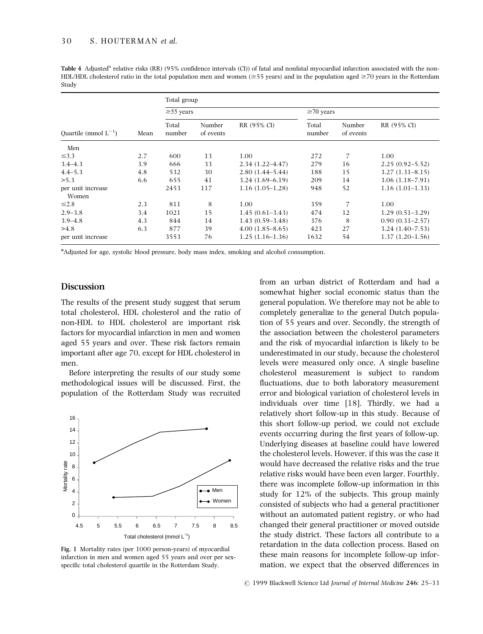Table 4 Adjusted<sup>a</sup> relative risks (RR) (95% confidence intervals (CI)) of fatal and nonfatal myocardial infarction associated with the non-HDL/HDL cholesterol ratio in the total population men and women ( $\geq$ 55 years) and in the population aged  $\geq$ 70 years in the Rotterdam Study

|                            |      | Total group     |                     |                     |                 |                     |                     |  |
|----------------------------|------|-----------------|---------------------|---------------------|-----------------|---------------------|---------------------|--|
|                            |      | $\geq$ 55 years |                     |                     | $\geq 70$ years |                     |                     |  |
| Ouartile (mmol $L^{-1}$ )  | Mean | Total<br>number | Number<br>of events | RR (95% CI)         | Total<br>number | Number<br>of events | RR (95% CI)         |  |
| Men                        |      |                 |                     |                     |                 |                     |                     |  |
| $\leq$ 3.3                 | 2.7  | 600             | 13                  | 1.00                | 272             | 7                   | 1.00                |  |
| $3.4 - 4.3$                | 3.9  | 666             | 33                  | $2.34(1.22 - 4.47)$ | 279             | 16                  | $2.25(0.92 - 5.52)$ |  |
| $4.4 - 5.3$                | 4.8  | 532             | 30                  | $2.80(1.44 - 5.44)$ | 188             | 15                  | $3.27(1.31 - 8.15)$ |  |
| > 5.3                      | 6.6  | 655             | 41                  | $3.24(1.69-6.19)$   | 209             | 14                  | $3.06(1.18 - 7.91)$ |  |
| per unit increase<br>Women |      | 2453            | 117                 | $1.16(1.05-1.28)$   | 948             | 52                  | $1.16(1.01-1.33)$   |  |
| $\leq 2.8$                 | 2.3  | 811             | 8                   | 1.00                | 359             | 7                   | 1.00                |  |
| $2.9 - 3.8$                | 3.4  | 1021            | 15                  | $1.45(0.61-3.43)$   | 474             | 12                  | $1.29(0.51-3.29)$   |  |
| $3.9 - 4.8$                | 4.3  | 844             | 14                  | $1.43(0.59-3.48)$   | 376             | 8                   | $0.90(0.31 - 2.57)$ |  |
| >4.8                       | 6.3  | 877             | 39                  | $4.00(1.85-8.65)$   | 423             | 27                  | $3.24(1.40-7.53)$   |  |
| per unit increase          |      | 3553            | 76                  | $1.25(1.16-1.36)$   | 1632            | 54                  | $1.37(1.20-1.56)$   |  |

<sup>a</sup>Adjusted for age, systolic blood pressure, body mass index, smoking and alcohol consumption.

## **Discussion**

The results of the present study suggest that serum total cholesterol, HDL cholesterol and the ratio of non-HDL to HDL cholesterol are important risk factors for myocardial infarction in men and women aged 55 years and over. These risk factors remain important after age 70, except for HDL cholesterol in men.

Before interpreting the results of our study some methodological issues will be discussed. First, the population of the Rotterdam Study was recruited



Fig. 1 Mortality rates (per 1000 person-years) of myocardial infarction in men and women aged 55 years and over per sexspecific total cholesterol quartile in the Rotterdam Study.

from an urban district of Rotterdam and had a somewhat higher social economic status than the general population. We therefore may not be able to completely generalize to the general Dutch population of 55 years and over. Secondly, the strength of the association between the cholesterol parameters and the risk of myocardial infarction is likely to be underestimated in our study, because the cholesterol levels were measured only once. A single baseline cholesterol measurement is subject to random fluctuations, due to both laboratory measurement error and biological variation of cholesterol levels in individuals over time [18]. Thirdly, we had a relatively short follow-up in this study. Because of this short follow-up period, we could not exclude events occurring during the first years of follow-up. Underlying diseases at baseline could have lowered the cholesterol levels. However, if this was the case it would have decreased the relative risks and the true relative risks would have been even larger. Fourthly, there was incomplete follow-up information in this study for 12% of the subjects. This group mainly consisted of subjects who had a general practitioner without an automated patient registry, or who had changed their general practitioner or moved outside the study district. These factors all contribute to a retardation in the data collection process. Based on these main reasons for incomplete follow-up information, we expect that the observed differences in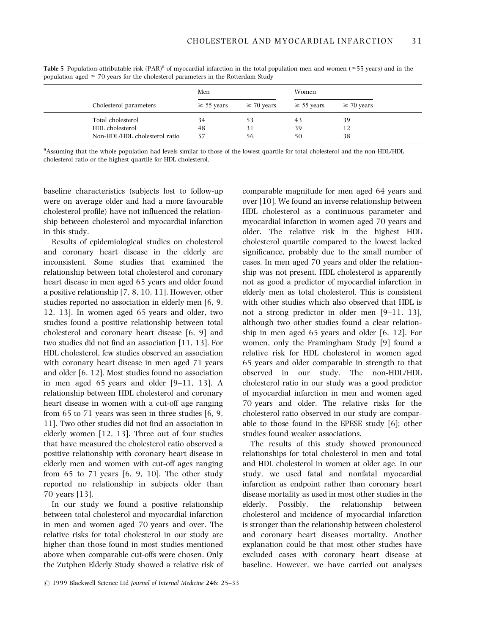|                               | Men             |                 | Women           |                 |
|-------------------------------|-----------------|-----------------|-----------------|-----------------|
| Cholesterol parameters        | $\geq$ 55 years | $\geq 70$ years | $\geq$ 55 years | $\geq 70$ years |
| Total cholesterol             | 34              | 53              | 43              | 39              |
| HDL cholesterol               | 48              | 31              | 39              | 12              |
| Non-HDL/HDL cholesterol ratio | 57              | 56              | 50              | 38              |

Table 5 Population-attributable risk  $(PAR)^a$  of myocardial infarction in the total population men and women ( $\geq$ 55 years) and in the population aged  $\geq$  70 years for the cholesterol parameters in the Rotterdam Study

a Assuming that the whole population had levels similar to those of the lowest quartile for total cholesterol and the non-HDL/HDL cholesterol ratio or the highest quartile for HDL cholesterol.

baseline characteristics (subjects lost to follow-up were on average older and had a more favourable cholesterol profile) have not influenced the relationship between cholesterol and myocardial infarction in this study.

Results of epidemiological studies on cholesterol and coronary heart disease in the elderly are inconsistent. Some studies that examined the relationship between total cholesterol and coronary heart disease in men aged 65 years and older found a positive relationship [7, 8, 10, 11]. However, other studies reported no association in elderly men [6, 9, 12, 13]. In women aged 65 years and older, two studies found a positive relationship between total cholesterol and coronary heart disease [6, 9] and two studies did not find an association [11, 13]. For HDL cholesterol, few studies observed an association with coronary heart disease in men aged 71 years and older [6, 12]. Most studies found no association in men aged 65 years and older  $[9-11, 13]$ . A relationship between HDL cholesterol and coronary heart disease in women with a cut-off age ranging from 65 to 71 years was seen in three studies [6, 9, 11]. Two other studies did not find an association in elderly women [12, 13]. Three out of four studies that have measured the cholesterol ratio observed a positive relationship with coronary heart disease in elderly men and women with cut-off ages ranging from  $65$  to  $71$  years  $[6, 9, 10]$ . The other study reported no relationship in subjects older than 70 years [13].

In our study we found a positive relationship between total cholesterol and myocardial infarction in men and women aged 70 years and over. The relative risks for total cholesterol in our study are higher than those found in most studies mentioned above when comparable cut-offs were chosen. Only the Zutphen Elderly Study showed a relative risk of comparable magnitude for men aged 64 years and over [10]. We found an inverse relationship between HDL cholesterol as a continuous parameter and myocardial infarction in women aged 70 years and older. The relative risk in the highest HDL cholesterol quartile compared to the lowest lacked significance, probably due to the small number of cases. In men aged 70 years and older the relationship was not present. HDL cholesterol is apparently not as good a predictor of myocardial infarction in elderly men as total cholesterol. This is consistent with other studies which also observed that HDL is not a strong predictor in older men  $[9-11, 13]$ , although two other studies found a clear relationship in men aged 65 years and older [6, 12]. For women, only the Framingham Study [9] found a relative risk for HDL cholesterol in women aged 65 years and older comparable in strength to that observed in our study. The non-HDL/HDL cholesterol ratio in our study was a good predictor of myocardial infarction in men and women aged 70 years and older. The relative risks for the cholesterol ratio observed in our study are comparable to those found in the EPESE study [6]; other studies found weaker associations.

The results of this study showed pronounced relationships for total cholesterol in men and total and HDL cholesterol in women at older age. In our study, we used fatal and nonfatal myocardial infarction as endpoint rather than coronary heart disease mortality as used in most other studies in the elderly. Possibly, the relationship between cholesterol and incidence of myocardial infarction is stronger than the relationship between cholesterol and coronary heart diseases mortality. Another explanation could be that most other studies have excluded cases with coronary heart disease at baseline. However, we have carried out analyses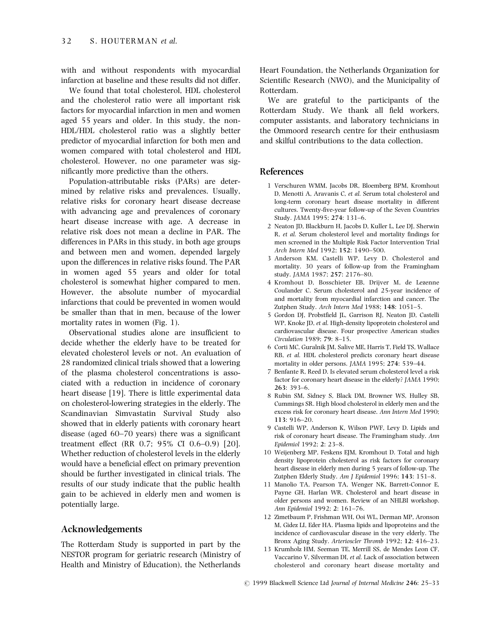with and without respondents with myocardial infarction at baseline and these results did not differ.

We found that total cholesterol, HDL cholesterol and the cholesterol ratio were all important risk factors for myocardial infarction in men and women aged 55 years and older. In this study, the non-HDL/HDL cholesterol ratio was a slightly better predictor of myocardial infarction for both men and women compared with total cholesterol and HDL cholesterol. However, no one parameter was significantly more predictive than the others.

Population-attributable risks (PARs) are determined by relative risks and prevalences. Usually, relative risks for coronary heart disease decrease with advancing age and prevalences of coronary heart disease increase with age. A decrease in relative risk does not mean a decline in PAR. The differences in PARs in this study, in both age groups and between men and women, depended largely upon the differences in relative risks found. The PAR in women aged 55 years and older for total cholesterol is somewhat higher compared to men. However, the absolute number of myocardial infarctions that could be prevented in women would be smaller than that in men, because of the lower mortality rates in women (Fig. 1).

Observational studies alone are insufficient to decide whether the elderly have to be treated for elevated cholesterol levels or not. An evaluation of 28 randomized clinical trials showed that a lowering of the plasma cholesterol concentrations is associated with a reduction in incidence of coronary heart disease [19]. There is little experimental data on cholesterol-lowering strategies in the elderly. The Scandinavian Simvastatin Survival Study also showed that in elderly patients with coronary heart disease (aged  $60-70$  years) there was a significant treatment effect (RR 0.7; 95% CI 0.6-0.9) [20]. Whether reduction of cholesterol levels in the elderly would have a beneficial effect on primary prevention should be further investigated in clinical trials. The results of our study indicate that the public health gain to be achieved in elderly men and women is potentially large.

## Acknowledgements

The Rotterdam Study is supported in part by the NESTOR program for geriatric research (Ministry of Health and Ministry of Education), the Netherlands Heart Foundation, the Netherlands Organization for Scientific Research (NWO), and the Municipality of Rotterdam.

We are grateful to the participants of the Rotterdam Study. We thank all field workers, computer assistants, and laboratory technicians in the Ommoord research centre for their enthusiasm and skilful contributions to the data collection.

## References

- 1 Verschuren WMM, Jacobs DR, Bloemberg BPM, Kromhout D, Menotti A, Aravanis C, et al. Serum total cholesterol and long-term coronary heart disease mortality in different cultures. Twenty-five-year follow-up of the Seven Countries Study. JAMA 1995; 274: 131-6.
- 2 Neaton JD, Blackburn H, Jacobs D, Kuller L, Lee DJ, Sherwin R, et al. Serum cholesterol level and mortality findings for men screened in the Multiple Risk Factor Intervention Trial Arch Intern Med 1992; 152: 1490-500.
- 3 Anderson KM, Castelli WP, Levy D. Cholesterol and mortality. 30 years of follow-up from the Framingham study. JAMA 1987; 257: 2176-80.
- 4 Kromhout D, Bosschieter EB, Drijver M, de Lezenne Coulander C. Serum cholesterol and 25-year incidence of and mortality from myocardial infarction and cancer. The Zutphen Study. Arch Intern Med 1988: 148: 1051-5.
- 5 Gordon DJ, Probstfield JL, Garrison RJ, Neaton JD, Castelli WP, Knoke JD, et al. High-density lipoprotein cholesterol and cardiovascular disease. Four prospective American studies Circulation 1989: 79: 8-15.
- 6 Corti MC, Guralnik JM, Salive ME, Harris T, Field TS, Wallace RB, et al. HDL cholesterol predicts coronary heart disease mortality in older persons. JAMA 1995; 274: 539-44.
- 7 Benfante R, Reed D. Is elevated serum cholesterol level a risk factor for coronary heart disease in the elderly? JAMA 1990; 263: 393±6.
- 8 Rubin SM, Sidney S, Black DM, Browner WS, Hulley SB, Cummings SR. High blood cholesterol in elderly men and the excess risk for coronary heart disease. Ann Intern Med 1990; 113: 916±20.
- 9 Castelli WP, Anderson K, Wilson PWF, Levy D. Lipids and risk of coronary heart disease. The Framingham study. Ann Epidemiol 1992: 2: 23-8.
- 10 Weijenberg MP, Feskens EJM, Kromhout D. Total and high density lipoprotein cholesterol as risk factors for coronary heart disease in elderly men during 5 years of follow-up. The Zutphen Elderly Study. Am J Epidemiol 1996; 143: 151-8.
- 11 Manolio TA, Pearson TA, Wenger NK, Barrett-Connor E, Payne GH, Harlan WR. Cholesterol and heart disease in older persons and women. Review of an NHLBI workshop. Ann Epidemiol 1992; 2: 161-76.
- 12 Zimetbaum P, Frishman WH, Ooi WL, Derman MP, Aronson M, Gidez LI, Eder HA. Plasma lipids and lipoproteins and the incidence of cardiovascular disease in the very elderly. The Bronx Aging Study. Arterioscler Thromb 1992; 12: 416-23.
- 13 Krumholz HM, Seeman TE, Merrill SS, de Mendes Leon CF, Vaccarino V, Silverman DI, et al. Lack of association between cholesterol and coronary heart disease mortality and